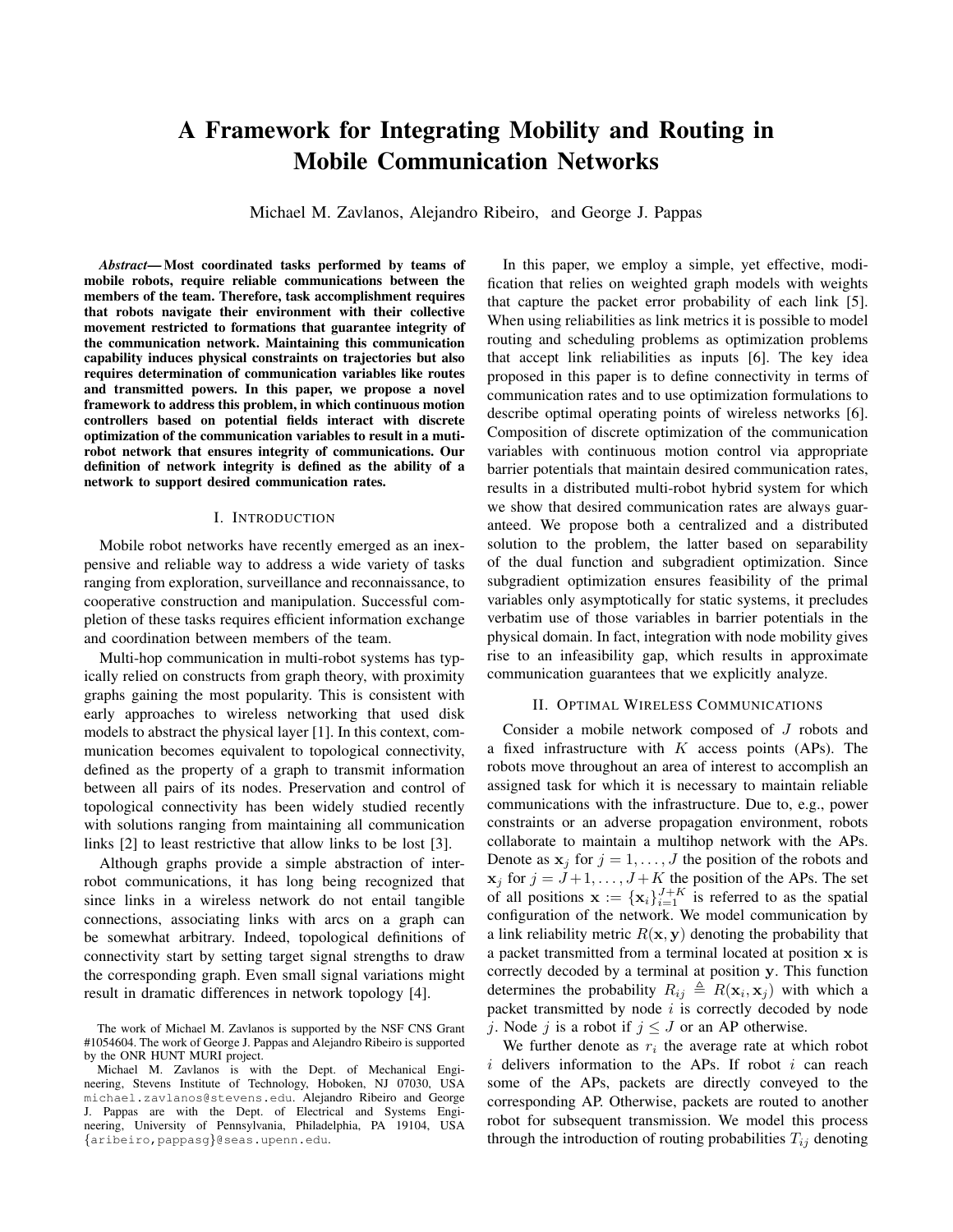# A Framework for Integrating Mobility and Routing in Mobile Communication Networks

Michael M. Zavlanos, Alejandro Ribeiro, and George J. Pappas

*Abstract*— Most coordinated tasks performed by teams of mobile robots, require reliable communications between the members of the team. Therefore, task accomplishment requires that robots navigate their environment with their collective movement restricted to formations that guarantee integrity of the communication network. Maintaining this communication capability induces physical constraints on trajectories but also requires determination of communication variables like routes and transmitted powers. In this paper, we propose a novel framework to address this problem, in which continuous motion controllers based on potential fields interact with discrete optimization of the communication variables to result in a mutirobot network that ensures integrity of communications. Our definition of network integrity is defined as the ability of a network to support desired communication rates.

#### I. INTRODUCTION

Mobile robot networks have recently emerged as an inexpensive and reliable way to address a wide variety of tasks ranging from exploration, surveillance and reconnaissance, to cooperative construction and manipulation. Successful completion of these tasks requires efficient information exchange and coordination between members of the team.

Multi-hop communication in multi-robot systems has typically relied on constructs from graph theory, with proximity graphs gaining the most popularity. This is consistent with early approaches to wireless networking that used disk models to abstract the physical layer [1]. In this context, communication becomes equivalent to topological connectivity, defined as the property of a graph to transmit information between all pairs of its nodes. Preservation and control of topological connectivity has been widely studied recently with solutions ranging from maintaining all communication links [2] to least restrictive that allow links to be lost [3].

Although graphs provide a simple abstraction of interrobot communications, it has long being recognized that since links in a wireless network do not entail tangible connections, associating links with arcs on a graph can be somewhat arbitrary. Indeed, topological definitions of connectivity start by setting target signal strengths to draw the corresponding graph. Even small signal variations might result in dramatic differences in network topology [4].

In this paper, we employ a simple, yet effective, modification that relies on weighted graph models with weights that capture the packet error probability of each link [5]. When using reliabilities as link metrics it is possible to model routing and scheduling problems as optimization problems that accept link reliabilities as inputs [6]. The key idea proposed in this paper is to define connectivity in terms of communication rates and to use optimization formulations to describe optimal operating points of wireless networks [6]. Composition of discrete optimization of the communication variables with continuous motion control via appropriate barrier potentials that maintain desired communication rates, results in a distributed multi-robot hybrid system for which we show that desired communication rates are always guaranteed. We propose both a centralized and a distributed solution to the problem, the latter based on separability of the dual function and subgradient optimization. Since subgradient optimization ensures feasibility of the primal variables only asymptotically for static systems, it precludes verbatim use of those variables in barrier potentials in the physical domain. In fact, integration with node mobility gives rise to an infeasibility gap, which results in approximate communication guarantees that we explicitly analyze.

### II. OPTIMAL WIRELESS COMMUNICATIONS

Consider a mobile network composed of J robots and a fixed infrastructure with  $K$  access points (APs). The robots move throughout an area of interest to accomplish an assigned task for which it is necessary to maintain reliable communications with the infrastructure. Due to, e.g., power constraints or an adverse propagation environment, robots collaborate to maintain a multihop network with the APs. Denote as  $x_i$  for  $j = 1, \ldots, J$  the position of the robots and  $x_j$  for  $j = J+1, \ldots, J+K$  the position of the APs. The set of all positions  $\mathbf{x} := \{x_i\}_{i=1}^{J+K}$  is referred to as the spatial configuration of the network. We model communication by a link reliability metric  $R(x, y)$  denoting the probability that a packet transmitted from a terminal located at position x is correctly decoded by a terminal at position y. This function determines the probability  $R_{ij} \triangleq R(\mathbf{x}_i, \mathbf{x}_j)$  with which a packet transmitted by node  $i$  is correctly decoded by node j. Node j is a robot if  $j \leq J$  or an AP otherwise.

We further denote as  $r_i$  the average rate at which robot  $i$  delivers information to the APs. If robot  $i$  can reach some of the APs, packets are directly conveyed to the corresponding AP. Otherwise, packets are routed to another robot for subsequent transmission. We model this process through the introduction of routing probabilities  $T_{ij}$  denoting

The work of Michael M. Zavlanos is supported by the NSF CNS Grant #1054604. The work of George J. Pappas and Alejandro Ribeiro is supported by the ONR HUNT MURI project.

Michael M. Zavlanos is with the Dept. of Mechanical Engineering, Stevens Institute of Technology, Hoboken, NJ 07030, USA michael.zavlanos@stevens.edu. Alejandro Ribeiro and George J. Pappas are with the Dept. of Electrical and Systems Engineering, University of Pennsylvania, Philadelphia, PA 19104, USA {aribeiro,pappasg}@seas.upenn.edu.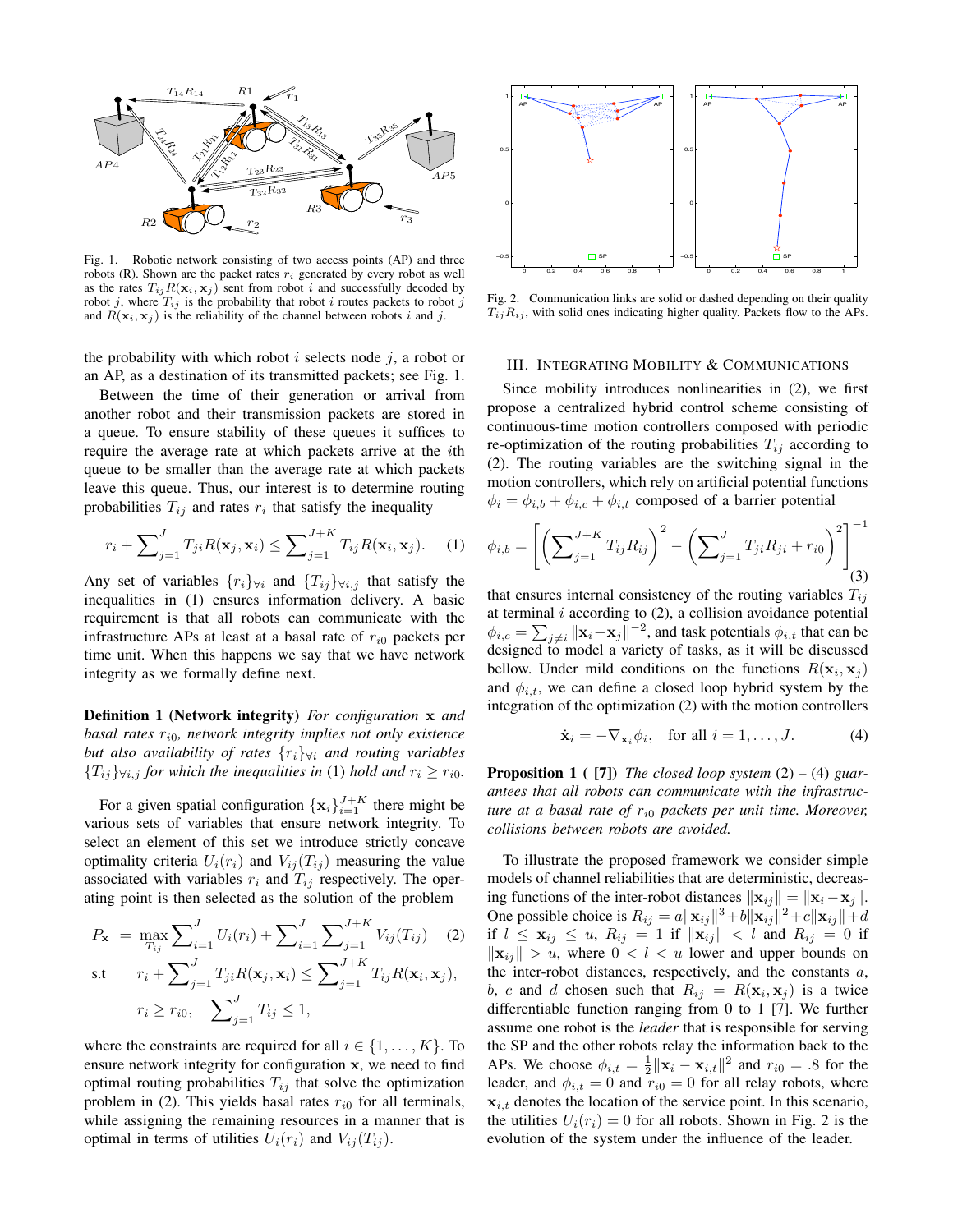

Fig. 1. Robotic network consisting of two access points (AP) and three robots (R). Shown are the packet rates  $r_i$  generated by every robot as well as the rates  $T_{ij}R(\mathbf{x}_i, \mathbf{x}_j)$  sent from robot i and successfully decoded by robot j, where  $T_{ij}$  is the probability that robot i routes packets to robot j and  $R(\mathbf{x}_i, \mathbf{x}_j)$  is the reliability of the channel between robots i and j.

the probability with which robot  $i$  selects node  $j$ , a robot or an AP, as a destination of its transmitted packets; see Fig. 1.

Between the time of their generation or arrival from another robot and their transmission packets are stored in a queue. To ensure stability of these queues it suffices to require the average rate at which packets arrive at the ith queue to be smaller than the average rate at which packets leave this queue. Thus, our interest is to determine routing probabilities  $T_{ij}$  and rates  $r_i$  that satisfy the inequality

$$
r_i + \sum_{j=1}^{J} T_{ji} R(\mathbf{x}_j, \mathbf{x}_i) \le \sum_{j=1}^{J+K} T_{ij} R(\mathbf{x}_i, \mathbf{x}_j).
$$
 (1)

Any set of variables  $\{r_i\}_{\forall i}$  and  $\{T_{ij}\}_{\forall i,j}$  that satisfy the inequalities in (1) ensures information delivery. A basic requirement is that all robots can communicate with the infrastructure APs at least at a basal rate of  $r_{i0}$  packets per time unit. When this happens we say that we have network integrity as we formally define next.

Definition 1 (Network integrity) *For configuration* x *and basal rates* r<sup>i</sup>0*, network integrity implies not only existence but also availability of rates*  $\{r_i\}_{\forall i}$  *and routing variables*  ${T_{ij}}\}_{\forall i,j}$  *for which the inequalities in* (1) *hold and*  $r_i \geq r_{i0}$ *.* 

For a given spatial configuration  $\{\mathbf x_i\}_{i=1}^{J+K}$  there might be various sets of variables that ensure network integrity. To select an element of this set we introduce strictly concave optimality criteria  $U_i(r_i)$  and  $V_{ij}(T_{ij})$  measuring the value associated with variables  $r_i$  and  $T_{ij}$  respectively. The operating point is then selected as the solution of the problem

$$
P_{\mathbf{x}} = \max_{T_{ij}} \sum_{i=1}^{J} U_i(r_i) + \sum_{i=1}^{J} \sum_{j=1}^{J+K} V_{ij}(T_{ij}) \quad (2)
$$
  
s.t 
$$
r_i + \sum_{j=1}^{J} T_{ji} R(\mathbf{x}_j, \mathbf{x}_i) \le \sum_{j=1}^{J+K} T_{ij} R(\mathbf{x}_i, \mathbf{x}_j),
$$

$$
r_i \ge r_{i0}, \sum_{j=1}^{J} T_{ij} \le 1,
$$

where the constraints are required for all  $i \in \{1, \ldots, K\}$ . To ensure network integrity for configuration x, we need to find optimal routing probabilities  $T_{ij}$  that solve the optimization problem in (2). This yields basal rates  $r_{i0}$  for all terminals, while assigning the remaining resources in a manner that is optimal in terms of utilities  $U_i(r_i)$  and  $V_{ij}(T_{ij})$ .



Fig. 2. Communication links are solid or dashed depending on their quality  $T_{ij}R_{ij}$ , with solid ones indicating higher quality. Packets flow to the APs.

#### III. INTEGRATING MOBILITY & COMMUNICATIONS

Since mobility introduces nonlinearities in (2), we first propose a centralized hybrid control scheme consisting of continuous-time motion controllers composed with periodic re-optimization of the routing probabilities  $T_{ij}$  according to (2). The routing variables are the switching signal in the motion controllers, which rely on artificial potential functions  $\phi_i = \phi_{i,b} + \phi_{i,c} + \phi_{i,t}$  composed of a barrier potential

$$
\phi_{i,b} = \left[ \left( \sum_{j=1}^{J+K} T_{ij} R_{ij} \right)^2 - \left( \sum_{j=1}^{J} T_{ji} R_{ji} + r_{i0} \right)^2 \right]^{-1} (3)
$$

that ensures internal consistency of the routing variables  $T_{ij}$ at terminal  $i$  according to  $(2)$ , a collision avoidance potential  $\phi_{i,c} = \sum_{j \neq i} ||\mathbf{x}_i - \mathbf{x}_j||^{-2}$ , and task potentials  $\phi_{i,t}$  that can be designed to model a variety of tasks, as it will be discussed bellow. Under mild conditions on the functions  $R(\mathbf{x}_i, \mathbf{x}_j)$ and  $\phi_{i,t}$ , we can define a closed loop hybrid system by the integration of the optimization (2) with the motion controllers

$$
\dot{\mathbf{x}}_i = -\nabla_{\mathbf{x}_i} \phi_i, \quad \text{for all } i = 1, \dots, J. \tag{4}
$$

Proposition 1 ( [7]) *The closed loop system* (2) *–* (4) *guarantees that all robots can communicate with the infrastructure at a basal rate of*  $r_{i0}$  *packets per unit time. Moreover, collisions between robots are avoided.*

To illustrate the proposed framework we consider simple models of channel reliabilities that are deterministic, decreasing functions of the inter-robot distances  $\|\mathbf{x}_{i,j}\| = \|\mathbf{x}_{i} - \mathbf{x}_{j}\|$ . One possible choice is  $R_{ij} = a \|\mathbf{x}_{ij}\|^3 + b \|\mathbf{x}_{ij}\|^2 + c \|\mathbf{x}_{ij}\| + d$ if  $l \leq \mathbf{x}_{ij} \leq u$ ,  $R_{ij} = 1$  if  $\|\mathbf{x}_{ij}\| < l$  and  $R_{ij} = 0$  if  $\|\mathbf{x}_{ij}\| > u$ , where  $0 < l < u$  lower and upper bounds on the inter-robot distances, respectively, and the constants  $a$ , b, c and d chosen such that  $R_{ij} = R(\mathbf{x}_i, \mathbf{x}_j)$  is a twice differentiable function ranging from 0 to 1 [7]. We further assume one robot is the *leader* that is responsible for serving the SP and the other robots relay the information back to the APs. We choose  $\phi_{i,t} = \frac{1}{2} ||\mathbf{x}_i - \mathbf{x}_{i,t}||^2$  and  $r_{i0} = .8$  for the leader, and  $\phi_{i,t} = 0$  and  $r_{i0} = 0$  for all relay robots, where  $x_{i,t}$  denotes the location of the service point. In this scenario, the utilities  $U_i(r_i) = 0$  for all robots. Shown in Fig. 2 is the evolution of the system under the influence of the leader.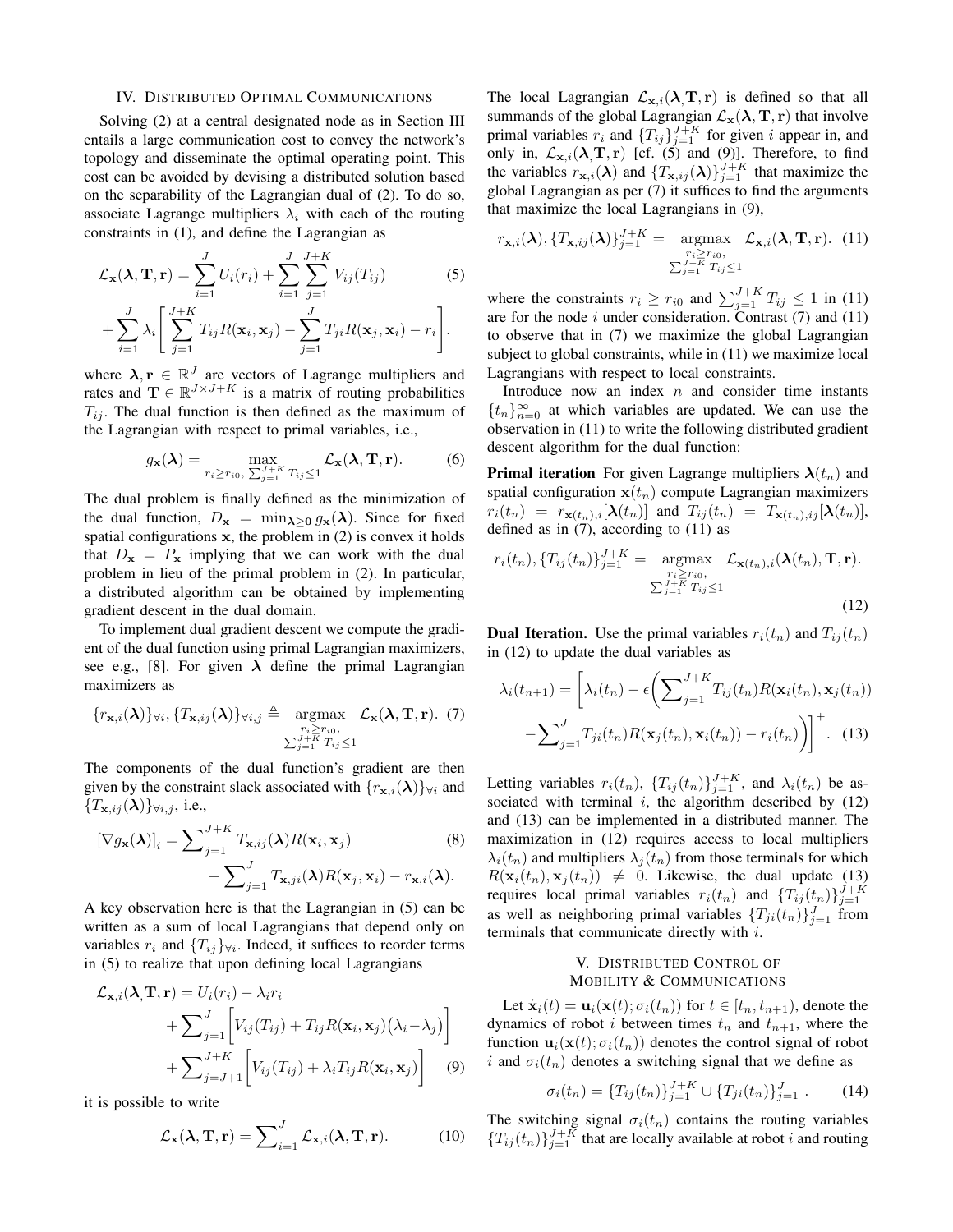#### IV. DISTRIBUTED OPTIMAL COMMUNICATIONS

Solving (2) at a central designated node as in Section III entails a large communication cost to convey the network's topology and disseminate the optimal operating point. This cost can be avoided by devising a distributed solution based on the separability of the Lagrangian dual of (2). To do so, associate Lagrange multipliers  $\lambda_i$  with each of the routing constraints in (1), and define the Lagrangian as

$$
\mathcal{L}_{\mathbf{x}}(\lambda, \mathbf{T}, \mathbf{r}) = \sum_{i=1}^{J} U_i(r_i) + \sum_{i=1}^{J} \sum_{j=1}^{J+K} V_{ij}(T_{ij})
$$
(5)  
+ 
$$
\sum_{i=1}^{J} \lambda_i \left[ \sum_{j=1}^{J+K} T_{ij} R(\mathbf{x}_i, \mathbf{x}_j) - \sum_{j=1}^{J} T_{ji} R(\mathbf{x}_j, \mathbf{x}_i) - r_i \right].
$$

where  $\lambda, r \in \mathbb{R}^J$  are vectors of Lagrange multipliers and rates and  $\mathbf{T} \in \mathbb{R}^{J \times J + K}$  is a matrix of routing probabilities  $T_{ij}$ . The dual function is then defined as the maximum of the Lagrangian with respect to primal variables, i.e.,

$$
g_{\mathbf{x}}(\boldsymbol{\lambda}) = \max_{r_i \ge r_{i0}, \ \sum_{j=1}^{J+K} T_{ij} \le 1} \mathcal{L}_{\mathbf{x}}(\boldsymbol{\lambda}, \mathbf{T}, \mathbf{r}).
$$
 (6)

The dual problem is finally defined as the minimization of the dual function,  $D_x = \min_{\lambda > 0} g_x(\lambda)$ . Since for fixed spatial configurations  $x$ , the problem in  $(2)$  is convex it holds that  $D_x = P_x$  implying that we can work with the dual problem in lieu of the primal problem in (2). In particular, a distributed algorithm can be obtained by implementing gradient descent in the dual domain.

To implement dual gradient descent we compute the gradient of the dual function using primal Lagrangian maximizers, see e.g., [8]. For given  $\lambda$  define the primal Lagrangian maximizers as

$$
\{r_{\mathbf{x},i}(\boldsymbol{\lambda})\}_{\forall i}, \{T_{\mathbf{x},ij}(\boldsymbol{\lambda})\}_{\forall i,j} \triangleq \underset{\substack{r_i \geq r_{i0}, \\ \sum_{j=1}^{J+K} T_{ij} \leq 1}}{\operatorname{argmax}} \mathcal{L}_{\mathbf{x}}(\boldsymbol{\lambda}, \mathbf{T}, \mathbf{r}). \tag{7}
$$

The components of the dual function's gradient are then given by the constraint slack associated with  $\{r_{\mathbf{x},i}(\lambda)\}\forall i$  and  ${T_{\mathbf{x},ij}(\boldsymbol{\lambda})}_{\forall i,j}$ , i.e.,

$$
[\nabla g_{\mathbf{x}}(\boldsymbol{\lambda})]_i = \sum_{j=1}^{J+K} T_{\mathbf{x},ij}(\boldsymbol{\lambda}) R(\mathbf{x}_i, \mathbf{x}_j)
$$
(8)  

$$
-\sum_{j=1}^{J} T_{\mathbf{x},ji}(\boldsymbol{\lambda}) R(\mathbf{x}_j, \mathbf{x}_i) - r_{\mathbf{x},i}(\boldsymbol{\lambda}).
$$

A key observation here is that the Lagrangian in (5) can be written as a sum of local Lagrangians that depend only on variables  $r_i$  and  $\{T_{ij}\}\forall i$ . Indeed, it suffices to reorder terms in (5) to realize that upon defining local Lagrangians

$$
\mathcal{L}_{\mathbf{x},i}(\lambda, \mathbf{T}, \mathbf{r}) = U_i(r_i) - \lambda_i r_i
$$
  
+ 
$$
\sum_{j=1}^J \left[ V_{ij}(T_{ij}) + T_{ij} R(\mathbf{x}_i, \mathbf{x}_j) (\lambda_i - \lambda_j) \right]
$$
  
+ 
$$
\sum_{j=J+1}^{J+K} \left[ V_{ij}(T_{ij}) + \lambda_i T_{ij} R(\mathbf{x}_i, \mathbf{x}_j) \right]
$$
 (9)

it is possible to write

$$
\mathcal{L}_{\mathbf{x}}(\lambda, \mathbf{T}, \mathbf{r}) = \sum_{i=1}^{J} \mathcal{L}_{\mathbf{x}, i}(\lambda, \mathbf{T}, \mathbf{r}).
$$
 (10)

The local Lagrangian  $\mathcal{L}_{\mathbf{x},i}(\lambda, \mathbf{T}, \mathbf{r})$  is defined so that all summands of the global Lagrangian  $\mathcal{L}_{\mathbf{x}}(\lambda, \mathbf{T}, \mathbf{r})$  that involve primal variables  $r_i$  and  $\{T_{ij}\}_{j=1}^{J+K}$  for given i appear in, and only in,  $\mathcal{L}_{\mathbf{x},i}(\lambda, \mathbf{T}, \mathbf{r})$  [cf. (5) and (9)]. Therefore, to find the variables  $r_{\mathbf{x},i}(\lambda)$  and  $\{T_{\mathbf{x},ij}(\lambda)\}_{j=1}^{J+K}$  that maximize the global Lagrangian as per (7) it suffices to find the arguments that maximize the local Lagrangians in (9),

$$
r_{\mathbf{x},i}(\boldsymbol{\lambda}), \{T_{\mathbf{x},ij}(\boldsymbol{\lambda})\}_{j=1}^{J+K} = \underset{\substack{r_i \geq r_{i0}, \\ \sum_{j=1}^{J+K} T_{ij} \leq 1}}{\operatorname{argmax}} \mathcal{L}_{\mathbf{x},i}(\boldsymbol{\lambda}, \mathbf{T}, \mathbf{r}). \tag{11}
$$

where the constraints  $r_i \ge r_{i0}$  and  $\sum_{j=1}^{J+K} T_{ij} \le 1$  in (11) are for the node i under consideration. Contrast  $(7)$  and  $(11)$ to observe that in (7) we maximize the global Lagrangian subject to global constraints, while in (11) we maximize local Lagrangians with respect to local constraints.

Introduce now an index  $n$  and consider time instants  ${t_n}_{n=0}^{\infty}$  at which variables are updated. We can use the observation in (11) to write the following distributed gradient descent algorithm for the dual function:

**Primal iteration** For given Lagrange multipliers  $\lambda(t_n)$  and spatial configuration  $\mathbf{x}(t_n)$  compute Lagrangian maximizers  $r_i(t_n) = r_{\mathbf{x}(t_n),i}[\boldsymbol{\lambda}(t_n)]$  and  $T_{ij}(t_n) = T_{\mathbf{x}(t_n),ij}[\boldsymbol{\lambda}(t_n)],$ defined as in  $(7)$ , according to  $(11)$  as

$$
r_i(t_n), \{T_{ij}(t_n)\}_{j=1}^{J+K} = \underset{\substack{r_i \ge r_{i0}, \\ \sum_{j=1}^{J+K} T_{ij} \le 1}}{\operatorname{argmax}} \mathcal{L}_{\mathbf{x}(t_n), i}(\lambda(t_n), \mathbf{T}, \mathbf{r}).
$$
\n(12)

**Dual Iteration.** Use the primal variables  $r_i(t_n)$  and  $T_{ij}(t_n)$ in (12) to update the dual variables as

$$
\lambda_i(t_{n+1}) = \left[\lambda_i(t_n) - \epsilon \left(\sum_{j=1}^{J+K} T_{ij}(t_n) R(\mathbf{x}_i(t_n), \mathbf{x}_j(t_n)) - \sum_{j=1}^{J} T_{ji}(t_n) R(\mathbf{x}_j(t_n), \mathbf{x}_i(t_n)) - r_i(t_n)\right)\right]^+.
$$
(13)

Letting variables  $r_i(t_n)$ ,  $\{T_{ij}(t_n)\}_{j=1}^{J+K}$ , and  $\lambda_i(t_n)$  be associated with terminal  $i$ , the algorithm described by  $(12)$ and (13) can be implemented in a distributed manner. The maximization in (12) requires access to local multipliers  $\lambda_i(t_n)$  and multipliers  $\lambda_i(t_n)$  from those terminals for which  $R(\mathbf{x}_i(t_n), \mathbf{x}_j(t_n)) \neq 0$ . Likewise, the dual update (13) requires local primal variables  $r_i(t_n)$  and  $\{T_{ij}(t_n)\}_{j=1}^{J+K}$ as well as neighboring primal variables  $\{T_{ji}(t_n)\}_{j=1}^J$  from terminals that communicate directly with i.

# V. DISTRIBUTED CONTROL OF MOBILITY & COMMUNICATIONS

Let  $\dot{\mathbf{x}}_i(t) = \mathbf{u}_i(\mathbf{x}(t); \sigma_i(t_n))$  for  $t \in [t_n, t_{n+1})$ , denote the dynamics of robot *i* between times  $t_n$  and  $t_{n+1}$ , where the function  $\mathbf{u}_i(\mathbf{x}(t); \sigma_i(t_n))$  denotes the control signal of robot i and  $\sigma_i(t_n)$  denotes a switching signal that we define as

$$
\sigma_i(t_n) = \{T_{ij}(t_n)\}_{j=1}^{J+K} \cup \{T_{ji}(t_n)\}_{j=1}^J.
$$
 (14)

The switching signal  $\sigma_i(t_n)$  contains the routing variables  ${T_{ij}(t_n)}_{j=1}^{J+K}$  that are locally available at robot i and routing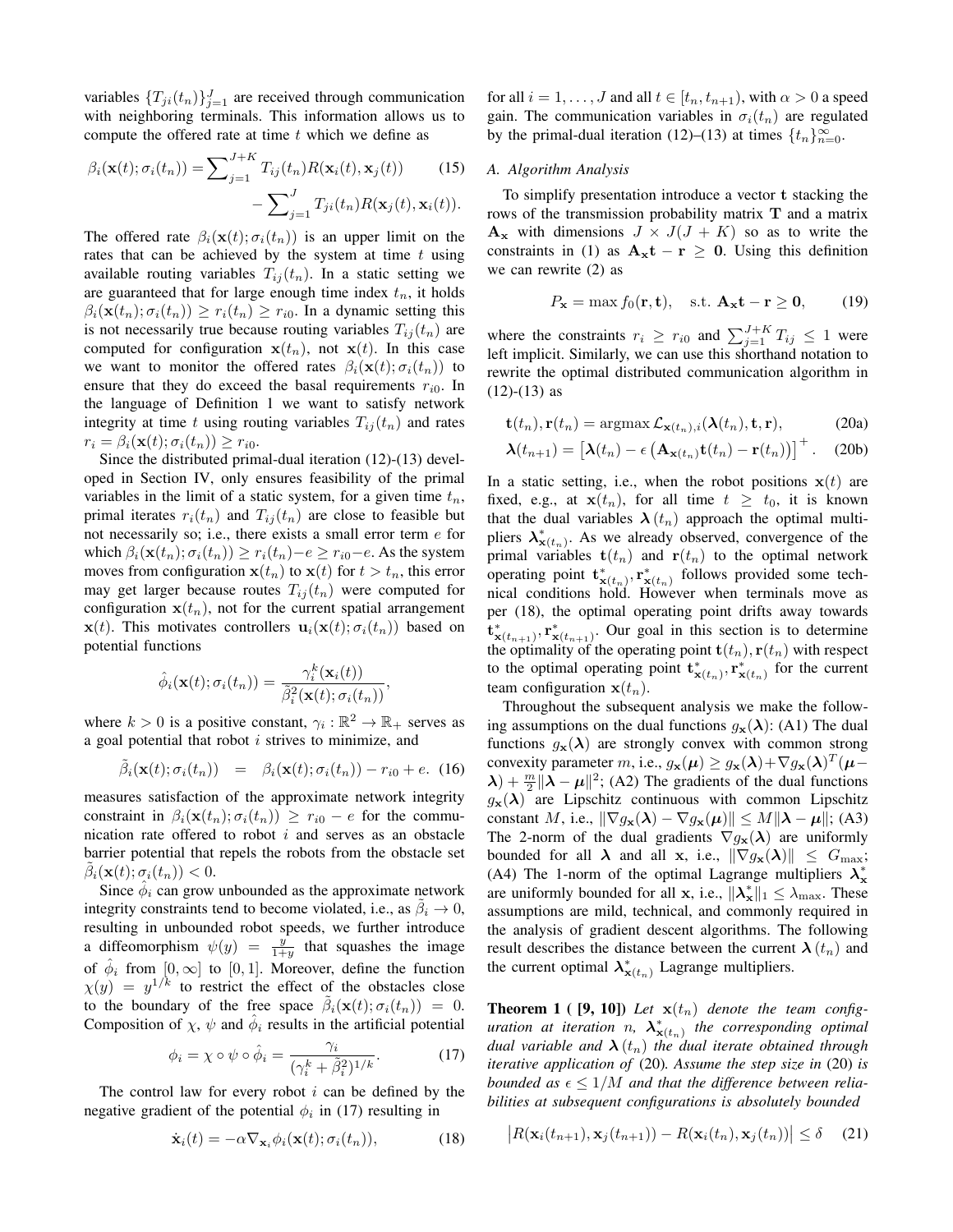variables  $\{T_{ji}(t_n)\}_{j=1}^J$  are received through communication with neighboring terminals. This information allows us to compute the offered rate at time  $t$  which we define as

$$
\beta_i(\mathbf{x}(t); \sigma_i(t_n)) = \sum_{j=1}^{J+K} T_{ij}(t_n) R(\mathbf{x}_i(t), \mathbf{x}_j(t)) \qquad (15)
$$

$$
- \sum_{j=1}^{J} T_{ji}(t_n) R(\mathbf{x}_j(t), \mathbf{x}_i(t)).
$$

The offered rate  $\beta_i(\mathbf{x}(t); \sigma_i(t_n))$  is an upper limit on the rates that can be achieved by the system at time  $t$  using available routing variables  $T_{ij}(t_n)$ . In a static setting we are guaranteed that for large enough time index  $t_n$ , it holds  $\beta_i(\mathbf{x}(t_n); \sigma_i(t_n)) \geq r_i(t_n) \geq r_{i0}$ . In a dynamic setting this is not necessarily true because routing variables  $T_{ij}(t_n)$  are computed for configuration  $x(t_n)$ , not  $x(t)$ . In this case we want to monitor the offered rates  $\beta_i(\mathbf{x}(t); \sigma_i(t_n))$  to ensure that they do exceed the basal requirements  $r_{i0}$ . In the language of Definition 1 we want to satisfy network integrity at time t using routing variables  $T_{ij}(t_n)$  and rates  $r_i = \beta_i(\mathbf{x}(t); \sigma_i(t_n)) \geq r_{i0}.$ 

Since the distributed primal-dual iteration (12)-(13) developed in Section IV, only ensures feasibility of the primal variables in the limit of a static system, for a given time  $t_n$ , primal iterates  $r_i(t_n)$  and  $T_{ij}(t_n)$  are close to feasible but not necessarily so; i.e., there exists a small error term e for which  $\beta_i(\mathbf{x}(t_n); \sigma_i(t_n)) \geq r_i(t_n) - e \geq r_{i0} - e$ . As the system moves from configuration  $\mathbf{x}(t_n)$  to  $\mathbf{x}(t)$  for  $t > t_n$ , this error may get larger because routes  $T_{ij}(t_n)$  were computed for configuration  $x(t_n)$ , not for the current spatial arrangement  $\mathbf{x}(t)$ . This motivates controllers  $\mathbf{u}_i(\mathbf{x}(t); \sigma_i(t_n))$  based on potential functions

$$
\hat{\phi}_i(\mathbf{x}(t); \sigma_i(t_n)) = \frac{\gamma_i^k(\mathbf{x}_i(t))}{\tilde{\beta}_i^2(\mathbf{x}(t); \sigma_i(t_n))},
$$

where  $k > 0$  is a positive constant,  $\gamma_i : \mathbb{R}^2 \to \mathbb{R}_+$  serves as a goal potential that robot  $i$  strives to minimize, and

$$
\tilde{\beta}_i(\mathbf{x}(t); \sigma_i(t_n)) = \beta_i(\mathbf{x}(t); \sigma_i(t_n)) - r_{i0} + e. \tag{16}
$$

measures satisfaction of the approximate network integrity constraint in  $\beta_i(\mathbf{x}(t_n); \sigma_i(t_n)) \geq r_{i0} - e$  for the communication rate offered to robot  $i$  and serves as an obstacle barrier potential that repels the robots from the obstacle set  $\tilde{\beta}_i(\mathbf{x}(t); \sigma_i(t_n)) < 0.$ 

Since  $\hat{\phi}_i$  can grow unbounded as the approximate network integrity constraints tend to become violated, i.e., as  $\tilde{\beta}_i \rightarrow 0$ , resulting in unbounded robot speeds, we further introduce a diffeomorphism  $\psi(y) = \frac{y}{1+y}$  that squashes the image of  $\hat{\phi}_i$  from  $[0,\infty]$  to  $[0,1]$ . Moreover, define the function  $\chi(y) = y^{1/k}$  to restrict the effect of the obstacles close to the boundary of the free space  $\tilde{\beta}_i(\mathbf{x}(t); \sigma_i(t_n)) = 0$ . Composition of  $\chi$ ,  $\psi$  and  $\hat{\phi}_i$  results in the artificial potential

$$
\phi_i = \chi \circ \psi \circ \hat{\phi}_i = \frac{\gamma_i}{(\gamma_i^k + \tilde{\beta}_i^2)^{1/k}}.
$$
 (17)

The control law for every robot  $i$  can be defined by the negative gradient of the potential  $\phi_i$  in (17) resulting in

$$
\dot{\mathbf{x}}_i(t) = -\alpha \nabla_{\mathbf{x}_i} \phi_i(\mathbf{x}(t); \sigma_i(t_n)), \tag{18}
$$

for all  $i = 1, \ldots, J$  and all  $t \in [t_n, t_{n+1})$ , with  $\alpha > 0$  a speed gain. The communication variables in  $\sigma_i(t_n)$  are regulated by the primal-dual iteration (12)–(13) at times  $\{t_n\}_{n=0}^{\infty}$ .

# *A. Algorithm Analysis*

To simplify presentation introduce a vector t stacking the rows of the transmission probability matrix T and a matrix  $A_x$  with dimensions  $J \times J(J + K)$  so as to write the constraints in (1) as  $A_x t - r \geq 0$ . Using this definition we can rewrite (2) as

$$
P_{\mathbf{x}} = \max f_0(\mathbf{r}, \mathbf{t}), \quad \text{s.t. } \mathbf{A}_{\mathbf{x}} \mathbf{t} - \mathbf{r} \ge \mathbf{0}, \qquad (19)
$$

where the constraints  $r_i \geq r_{i0}$  and  $\sum_{j=1}^{J+K} T_{ij} \leq 1$  were left implicit. Similarly, we can use this shorthand notation to rewrite the optimal distributed communication algorithm in  $(12)-(13)$  as

$$
\mathbf{t}(t_n), \mathbf{r}(t_n) = \operatorname{argmax} \mathcal{L}_{\mathbf{x}(t_n), i}(\boldsymbol{\lambda}(t_n), \mathbf{t}, \mathbf{r}), \tag{20a}
$$

$$
\boldsymbol{\lambda}(t_{n+1}) = \left[\boldsymbol{\lambda}(t_n) - \epsilon \left(\mathbf{A}_{\mathbf{x}(t_n)} \mathbf{t}(t_n) - \mathbf{r}(t_n)\right)\right]^+.
$$
 (20b)

In a static setting, i.e., when the robot positions  $x(t)$  are fixed, e.g., at  $\mathbf{x}(t_n)$ , for all time  $t \geq t_0$ , it is known that the dual variables  $\lambda(t_n)$  approach the optimal multipliers  $\lambda_{\mathbf{x}(t_n)}^*$ . As we already observed, convergence of the primal variables  $t(t_n)$  and  $r(t_n)$  to the optimal network operating point  $\mathbf{t}^*_{\mathbf{x}(t_n)}, \mathbf{r}^*_{\mathbf{x}(t_n)}$  follows provided some technical conditions hold. However when terminals move as per (18), the optimal operating point drifts away towards  $\mathbf{t}^*_{\mathbf{x}(t_{n+1})}, \mathbf{r}^*_{\mathbf{x}(t_{n+1})}.$  Our goal in this section is to determine the optimality of the operating point  $\mathbf{t}(t_n)$ ,  $\mathbf{r}(t_n)$  with respect to the optimal operating point  $\mathbf{t}^*_{\mathbf{x}(t_n)}, \mathbf{r}^*_{\mathbf{x}(t_n)}$  for the current team configuration  $x(t_n)$ .

Throughout the subsequent analysis we make the following assumptions on the dual functions  $g_{\mathbf{x}}(\lambda)$ : (A1) The dual functions  $g_{\mathbf{x}}(\lambda)$  are strongly convex with common strong convexity parameter m, i.e.,  $g_{\mathbf{x}}(\boldsymbol{\mu}) \geq g_{\mathbf{x}}(\boldsymbol{\lambda}) + \nabla g_{\mathbf{x}}(\boldsymbol{\lambda})^T (\boldsymbol{\mu} \lambda$ ) +  $\frac{m}{2}$   $\|\lambda - \mu\|^2$ ; (A2) The gradients of the dual functions  $g_{\mathbf{x}}(\lambda)$  are Lipschitz continuous with common Lipschitz constant M, i.e.,  $\|\nabla g_{\mathbf{x}}(\boldsymbol{\lambda}) - \nabla g_{\mathbf{x}}(\boldsymbol{\mu})\| \le M \|\boldsymbol{\lambda} - \boldsymbol{\mu}\|$ ; (A3) The 2-norm of the dual gradients  $\nabla g_{\mathbf{x}}(\lambda)$  are uniformly bounded for all  $\lambda$  and all x, i.e.,  $\|\nabla g_{\mathbf{x}}(\lambda)\| \leq G_{\text{max}};$ (A4) The 1-norm of the optimal Lagrange multipliers  $\lambda_x^*$ are uniformly bounded for all x, i.e.,  $\|\lambda_{\mathbf{x}}^*\|_1 \leq \lambda_{\max}$ . These assumptions are mild, technical, and commonly required in the analysis of gradient descent algorithms. The following result describes the distance between the current  $\lambda(t_n)$  and the current optimal  $\lambda^*_{\mathbf{x}(t_n)}$  Lagrange multipliers.

**Theorem 1** ( [9, 10]) Let  $\mathbf{x}(t_n)$  denote the team config*uration at iteration n,*  $\lambda^*_{\mathbf{x}(t_n)}$  *the corresponding optimal dual variable and*  $\lambda(t_n)$  *the dual iterate obtained through iterative application of* (20)*. Assume the step size in* (20) *is bounded as*  $\epsilon \leq 1/M$  *and that the difference between reliabilities at subsequent configurations is absolutely bounded*

$$
\left| R(\mathbf{x}_i(t_{n+1}), \mathbf{x}_j(t_{n+1})) - R(\mathbf{x}_i(t_n), \mathbf{x}_j(t_n)) \right| \le \delta \quad (21)
$$